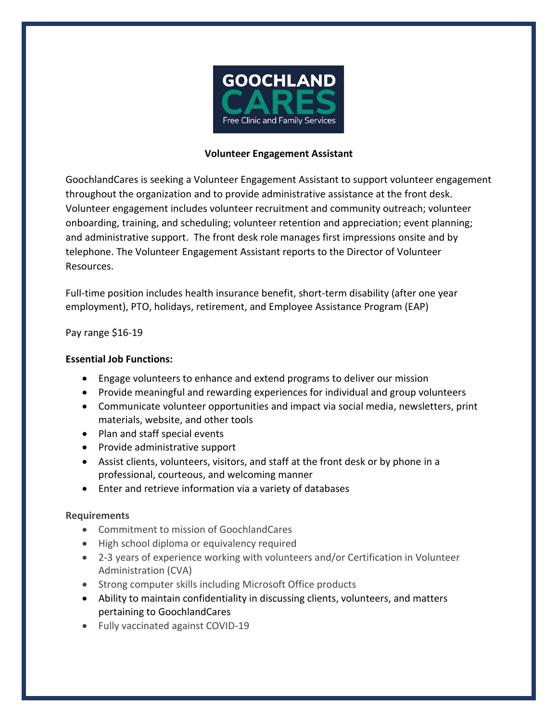

# **Volunteer Engagement Assistant**

GoochlandCares is seeking a Volunteer Engagement Assistant to support volunteer engagement throughout the organization and to provide administrative assistance at the front desk. Volunteer engagement includes volunteer recruitment and community outreach; volunteer onboarding, training, and scheduling; volunteer retention and appreciation; event planning; and administrative support. The front desk role manages first impressions onsite and by telephone. The Volunteer Engagement Assistant reports to the Director of Volunteer Resources.

Full-time position includes health insurance benefit, short-term disability (after one year employment), PTO, holidays, retirement, and Employee Assistance Program (EAP)

# Pay range \$16-19

# **Essential Job Functions:**

- Engage volunteers to enhance and extend programs to deliver our mission
- Provide meaningful and rewarding experiences for individual and group volunteers
- Communicate volunteer opportunities and impact via social media, newsletters, print materials, website, and other tools
- Plan and staff special events
- Provide administrative support
- Assist clients, volunteers, visitors, and staff at the front desk or by phone in a professional, courteous, and welcoming manner
- Enter and retrieve information via a variety of databases

### **Requirements**

- Commitment to mission of GoochlandCares
- High school diploma or equivalency required
- 2-3 years of experience working with volunteers and/or Certification in Volunteer Administration (CVA)
- Strong computer skills including Microsoft Office products
- Ability to maintain confidentiality in discussing clients, volunteers, and matters pertaining to GoochlandCares
- Fully vaccinated against COVID-19